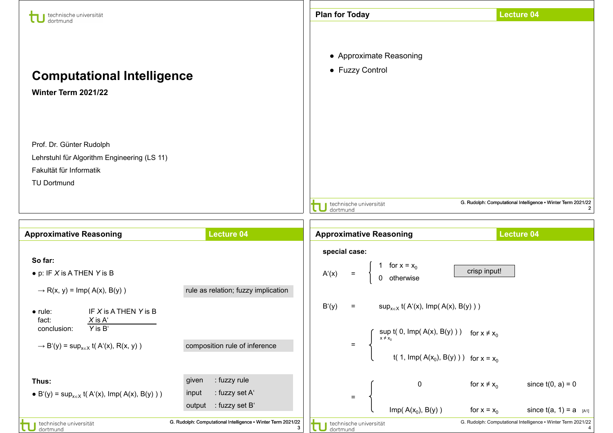| technische universität                                                                                                                                   |                                                                              | <b>Plan for Today</b>                                                                                                                                     | <b>Lecture 04</b>                                                                    |  |
|----------------------------------------------------------------------------------------------------------------------------------------------------------|------------------------------------------------------------------------------|-----------------------------------------------------------------------------------------------------------------------------------------------------------|--------------------------------------------------------------------------------------|--|
| dortmund<br><b>Computational Intelligence</b><br>Winter Term 2021/22                                                                                     |                                                                              | • Approximate Reasoning<br>• Fuzzy Control                                                                                                                |                                                                                      |  |
| Prof. Dr. Günter Rudolph<br>Lehrstuhl für Algorithm Engineering (LS 11)<br>Fakultät für Informatik<br><b>TU Dortmund</b>                                 |                                                                              | technische universität<br>dortmund                                                                                                                        | G. Rudolph: Computational Intelligence . Winter Term 2021/22                         |  |
|                                                                                                                                                          |                                                                              |                                                                                                                                                           |                                                                                      |  |
| <b>Approximative Reasoning</b>                                                                                                                           | <b>Lecture 04</b>                                                            | <b>Approximative Reasoning</b>                                                                                                                            | <b>Lecture 04</b>                                                                    |  |
|                                                                                                                                                          |                                                                              |                                                                                                                                                           |                                                                                      |  |
| So far:<br>$\bullet$ p: IF X is A THEN Y is B<br>$\rightarrow$ R(x, y) = Imp(A(x), B(y))                                                                 | rule as relation; fuzzy implication                                          | special case:<br>for $x = x_0$<br>A'(x)<br>$\equiv$<br>0 otherwise                                                                                        | crisp input!                                                                         |  |
| IF X is A THEN Y is B<br>$\bullet$ rule:<br>fact:<br>$X$ is $A'$<br>Y is B'<br>conclusion:<br>$\rightarrow$ B'(y) = sup <sub>xeX</sub> t(A'(x), R(x, y)) | composition rule of inference                                                | $\sup_{x \in X}$ t( A'(x), Imp( A(x), B(y) ) )<br>B'(y)<br>$\equiv$<br>$\int \sup_{x \neq x_0} f(0, \text{Imp}(A(x), B(y)))$ for $x \neq x_0$<br>$\equiv$ | t( 1, Imp( $A(x_0)$ , B(y) ) ) for $x = x_0$                                         |  |
| Thus:<br>• B'(y) = sup <sub>xeX</sub> t(A'(x), Imp(A(x), B(y)))                                                                                          | : fuzzy rule<br>given<br>: fuzzy set A'<br>input<br>: fuzzy set B'<br>output | 0<br>$\equiv$<br>Imp( $A(x_0)$ , $B(y)$ )                                                                                                                 | since $t(0, a) = 0$<br>for $x \neq x_0$<br>since $t(a, 1) = a$ [A1]<br>for $x = x_0$ |  |

11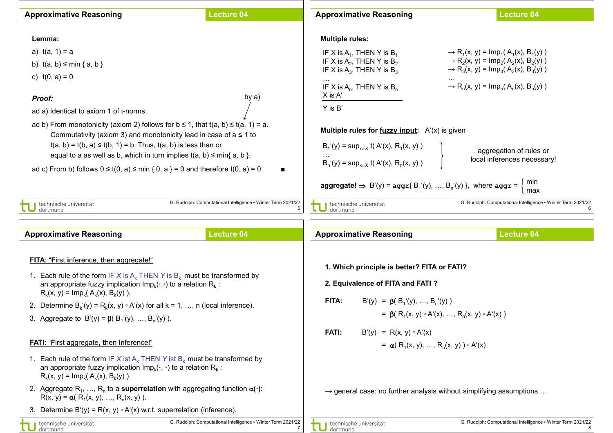| <b>Approximative Reasoning</b>                                                                                                                                                                                                                                                                                                                                                                                                                                                                                                                                                     | <b>Lecture 04</b>                                                 | <b>Approximative Reasoning</b>                                                                                                                                                                                                                                                                                                                                                                                                                                                                                                                                                                                                                                                                                                                                                                                                                                                                          | <b>Lecture 04</b>                                            |
|------------------------------------------------------------------------------------------------------------------------------------------------------------------------------------------------------------------------------------------------------------------------------------------------------------------------------------------------------------------------------------------------------------------------------------------------------------------------------------------------------------------------------------------------------------------------------------|-------------------------------------------------------------------|---------------------------------------------------------------------------------------------------------------------------------------------------------------------------------------------------------------------------------------------------------------------------------------------------------------------------------------------------------------------------------------------------------------------------------------------------------------------------------------------------------------------------------------------------------------------------------------------------------------------------------------------------------------------------------------------------------------------------------------------------------------------------------------------------------------------------------------------------------------------------------------------------------|--------------------------------------------------------------|
| Lemma:<br>a) $t(a, 1) = a$<br>b) $t(a, b) \le min \{ a, b \}$<br>c) $t(0, a) = 0$<br>by $a)$<br><b>Proof:</b><br>ad a) Identical to axiom 1 of t-norms.<br>ad b) From monotonicity (axiom 2) follows for $b \le 1$ , that $t(a, b) \le t(a, 1) = a$ .<br>Commutativity (axiom 3) and monotonicity lead in case of $a \le 1$ to<br>$t(a, b) = t(b, a) \le t(b, 1) = b$ . Thus, $t(a, b)$ is less than or<br>equal to a as well as b, which in turn implies $t(a, b) \leq min\{a, b\}$ .<br>ad c) From b) follows $0 \le t(0, a) \le \min\{0, a\} = 0$ and therefore $t(0, a) = 0$ . |                                                                   | <b>Multiple rules:</b><br>IF X is $A_1$ , THEN Y is $B_1$<br>$\rightarrow$ R <sub>1</sub> (x, y) = lmp <sub>1</sub> (A <sub>1</sub> (x), B <sub>1</sub> (y))<br>IF X is $A_2$ , THEN Y is $B_2$<br>$\rightarrow$ R <sub>2</sub> (x, y) = lmp <sub>2</sub> (A <sub>2</sub> (x), B <sub>2</sub> (y))<br>IF X is $A_3$ , THEN Y is $B_3$<br>$\rightarrow$ R <sub>3</sub> (x, y) = lmp <sub>3</sub> (A <sub>3</sub> (x), B <sub>3</sub> (y))<br>$\rightarrow R_n(x, y) = Imp_n(A_n(x), B_n(y))$<br>IF X is $A_n$ , THEN Y is $B_n$<br>X is A'<br>Y is B'<br><b>Multiple rules for <u>fuzzy input</u></b> : $A'(x)$ is given<br>$B_1(y)$ = sup <sub>xeX</sub> t(A'(x), R <sub>1</sub> (x, y))<br>aggregation of rules or<br>local inferences necessary!<br>$B_n'(y) = \sup_{x \in X} f(A'(x), R_n(x, y))$<br>min<br>aggregate! $\Rightarrow B'(y) = \text{aggr}\{B_1'(y), , B_n'(y)\}$ , where aggr =<br>max |                                                              |
| technische universität<br>dortmund                                                                                                                                                                                                                                                                                                                                                                                                                                                                                                                                                 | G. Rudolph: Computational Intelligence • Winter Term 2021/22<br>5 | technische universität<br>dortmund                                                                                                                                                                                                                                                                                                                                                                                                                                                                                                                                                                                                                                                                                                                                                                                                                                                                      | G. Rudolph: Computational Intelligence . Winter Term 2021/22 |
|                                                                                                                                                                                                                                                                                                                                                                                                                                                                                                                                                                                    |                                                                   |                                                                                                                                                                                                                                                                                                                                                                                                                                                                                                                                                                                                                                                                                                                                                                                                                                                                                                         |                                                              |
| <b>Approximative Reasoning</b>                                                                                                                                                                                                                                                                                                                                                                                                                                                                                                                                                     | <b>Lecture 04</b>                                                 | <b>Approximative Reasoning</b>                                                                                                                                                                                                                                                                                                                                                                                                                                                                                                                                                                                                                                                                                                                                                                                                                                                                          | <b>Lecture 04</b>                                            |
| FITA: "First inference, then aggregate!"<br>1. Each rule of the form IF X is $A_k$ THEN Y is $B_k$ must be transformed by<br>an appropriate fuzzy implication $Imp_k(\cdot, \cdot)$ to a relation $R_k$ :<br>$R_k(x, y) = Im p_k(A_k(x), B_k(y)).$<br>2. Determine $B_k'(y) = R_k(x, y) \circ A'(x)$ for all $k = 1, , n$ (local inference).<br>3. Aggregate to $B'(y) = \beta(B_1'(y), , B_n'(y))$ .                                                                                                                                                                              |                                                                   | 1. Which principle is better? FITA or FATI?<br>2. Equivalence of FITA and FATI?<br>FITA:<br>$B'(y) = \beta(B_1'(y), , B_n'(y))$<br>= $\beta$ ( R <sub>1</sub> (x, y) $\circ$ A <sup>1</sup> (x), , R <sub>n</sub> (x, y) $\circ$ A <sup>1</sup> (x))<br><b>FATI:</b><br>$B'(y) = R(x, y) \circ A'(x)$                                                                                                                                                                                                                                                                                                                                                                                                                                                                                                                                                                                                   |                                                              |
| <b>FATI: "First aggregate, then inference!"</b>                                                                                                                                                                                                                                                                                                                                                                                                                                                                                                                                    |                                                                   | = $\alpha$ (R <sub>1</sub> (x, y), , R <sub>n</sub> (x, y)) $\circ$ A <sup>1</sup> (x)                                                                                                                                                                                                                                                                                                                                                                                                                                                                                                                                                                                                                                                                                                                                                                                                                  |                                                              |
| 1. Each rule of the form IF X ist $A_k$ THEN Y ist $B_k$ must be transformed by<br>an appropriate fuzzy implication $Imp_k(\cdot, \cdot)$ to a relation $R_k$ :<br>$R_k(x, y) = Im p_k(A_k(x), B_k(y)).$<br>2. Aggregate R <sub>1</sub> , , R <sub>n</sub> to a <b>superrelation</b> with aggregating function $\alpha(\cdot)$ :<br>$R(x, y) = \alpha(R_1(x, y), , R_n(x, y)).$<br>3. Determine B'(y) = R(x, y) $\circ$ A'(x) w.r.t. superrelation (inference).                                                                                                                    |                                                                   | $\rightarrow$ general case: no further analysis without simplifying assumptions                                                                                                                                                                                                                                                                                                                                                                                                                                                                                                                                                                                                                                                                                                                                                                                                                         |                                                              |
| technische universität<br>dortmund                                                                                                                                                                                                                                                                                                                                                                                                                                                                                                                                                 | G. Rudolph: Computational Intelligence . Winter Term 2021/22      | technische universität<br>dortmund                                                                                                                                                                                                                                                                                                                                                                                                                                                                                                                                                                                                                                                                                                                                                                                                                                                                      | G. Rudolph: Computational Intelligence • Winter Term 2021/22 |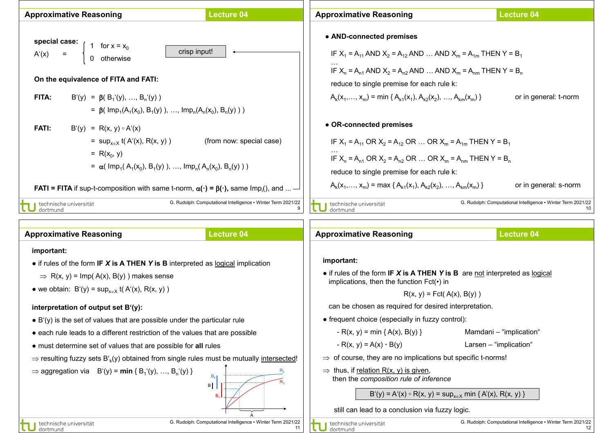

| <b>Approximative Reasoning</b>                                                                                  | <b>Lecture 04</b>                                            | <b>Approximative Reasoning</b>                                                                                                                                          | Lecture 04                                                         |  |
|-----------------------------------------------------------------------------------------------------------------|--------------------------------------------------------------|-------------------------------------------------------------------------------------------------------------------------------------------------------------------------|--------------------------------------------------------------------|--|
| important:                                                                                                      |                                                              |                                                                                                                                                                         |                                                                    |  |
| • if rules of the form IF $X$ is A THEN Y is B interpreted as logical implication                               |                                                              | important:                                                                                                                                                              |                                                                    |  |
| $\Rightarrow$ R(x, y) = Imp(A(x), B(y)) makes sense                                                             |                                                              | • if rules of the form IF $X$ is A THEN Y is B are not interpreted as logical<br>implications, then the function $Fct(\cdot)$ in                                        |                                                                    |  |
| • we obtain: $B'(y) = \sup_{x \in X} f(A'(x), R(x, y))$                                                         |                                                              | $R(x, y) = Fct(A(x), B(y))$                                                                                                                                             |                                                                    |  |
| interpretation of output set $B'(y)$ :                                                                          |                                                              | can be chosen as required for desired interpretation.                                                                                                                   |                                                                    |  |
| $\bullet$ B'(y) is the set of values that are possible under the particular rule                                |                                                              | • frequent choice (especially in fuzzy control):                                                                                                                        |                                                                    |  |
| • each rule leads to a different restriction of the values that are possible                                    |                                                              | - R(x, y) = min { A(x), B(y) }                                                                                                                                          | Mamdani - "implication"                                            |  |
| • must determine set of values that are possible for all rules                                                  |                                                              | $-R(x, y) = A(x) \cdot B(y)$                                                                                                                                            | Larsen - "implication"                                             |  |
| $\Rightarrow$ resulting fuzzy sets B' <sub>k</sub> (y) obtained from single rules must be mutually intersected! |                                                              | $\Rightarrow$ of course, they are no implications but specific t-norms!                                                                                                 |                                                                    |  |
| $\Rightarrow$ aggregation via $B'(y) = min \{ B_1'(y), , B_n'(y) \}$<br>B <sub>2</sub><br>B                     |                                                              | $\Rightarrow$ thus, if relation R(x, y) is given,<br>then the composition rule of inference<br>$B'(y) = A'(x) \circ R(x, y) = \sup_{x \in X} \min \{ A'(x), R(x, y) \}$ |                                                                    |  |
|                                                                                                                 |                                                              | still can lead to a conclusion via fuzzy logic.                                                                                                                         |                                                                    |  |
| technische universität<br>dortmund                                                                              | G. Rudolph: Computational Intelligence • Winter Term 2021/22 | technische universität<br>dortmund                                                                                                                                      | G. Rudolph: Computational Intelligence • Winter Term 2021/22<br>12 |  |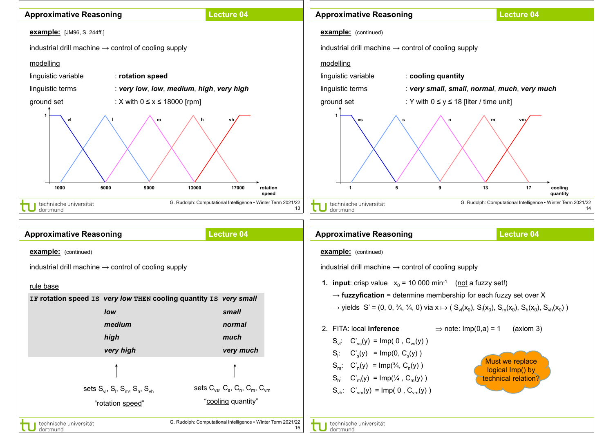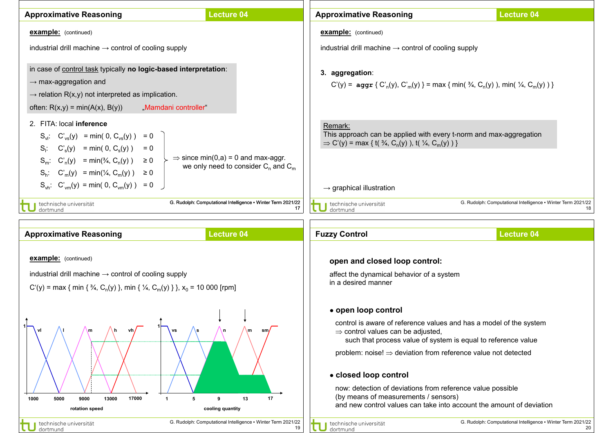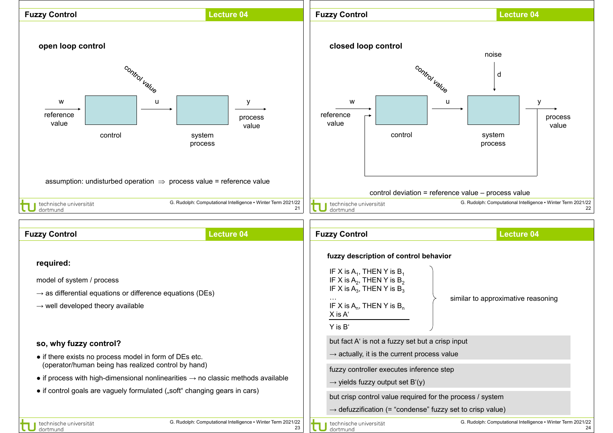

but crisp control value required for the process / system

 $\rightarrow$  defuzzification (= "condense" fuzzy set to crisp value)

technische universität dortmund

23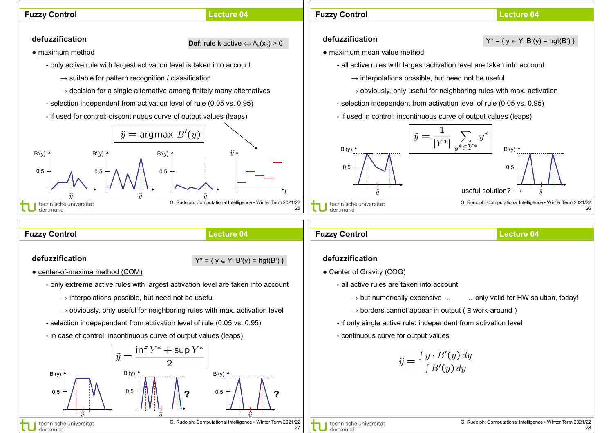



27

G. Rudolph: Computational Intelligence ▪ Winter Term 2021/22

0,5

 $^{0,5}$   $^{+}$   $^{+}$   $^{+}$   $^{+}$   $^{+}$   $^{2}$   $^{0,5}$   $^{+}$   $^{+}$   $^{+}$   $^{+}$   $^{+}$   $^{+}$   $^{+}$   $^{2}$ 

**?**

 $B'(v)$ 

0,5

dortmund

technische universität

B'(y)

 $B'(v)$  1

 $\check{y} =$